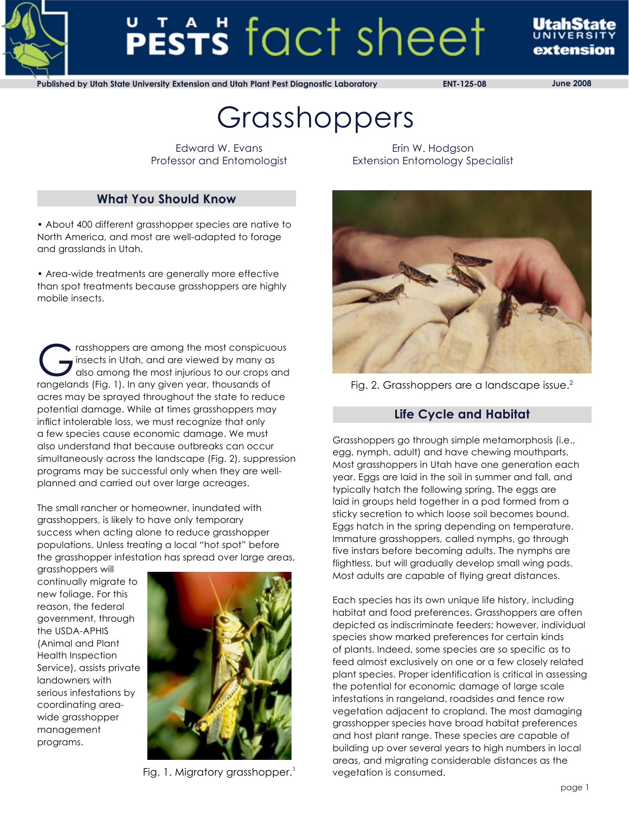

# PESTS fact sheet

extension

**Published by Utah State University Extension and Utah Plant Pest Diagnostic Laboratory ENT-125-08 June 2008**

# Grasshoppers

Edward W. Evans Professor and Entomologist

# **What You Should Know**

• About 400 different grasshopper species are native to North America, and most are well-adapted to forage and grasslands in Utah.

• Area-wide treatments are generally more effective than spot treatments because grasshoppers are highly mobile insects.

Trasshoppers are among the most conspicuous<br>
insects in Utah, and are viewed by many as<br>
also among the most injurious to our crops and<br>
rangelands (Fig. 1) In any given year, thousands of insects in Utah, and are viewed by many as rangelands (Fig. 1). In any given year, thousands of acres may be sprayed throughout the state to reduce potential damage. While at times grasshoppers may inflict intolerable loss, we must recognize that only a few species cause economic damage. We must also understand that because outbreaks can occur simultaneously across the landscape (Fig. 2), suppression programs may be successful only when they are wellplanned and carried out over large acreages.

The small rancher or homeowner, inundated with grasshoppers, is likely to have only temporary success when acting alone to reduce grasshopper populations. Unless treating a local "hot spot" before the grasshopper infestation has spread over large areas,

grasshoppers will continually migrate to new foliage. For this reason, the federal government, through the USDA-APHIS (Animal and Plant Health Inspection Service), assists private landowners with serious infestations by coordinating areawide grasshopper management programs.



Fig. 1. Migratory grasshopper.<sup>1</sup>

Erin W. Hodgson Extension Entomology Specialist



Fig. 2. Grasshoppers are a landscape issue.<sup>2</sup>

# **Life Cycle and Habitat**

Grasshoppers go through simple metamorphosis (i.e., egg, nymph, adult) and have chewing mouthparts. Most grasshoppers in Utah have one generation each year. Eggs are laid in the soil in summer and fall, and typically hatch the following spring. The eggs are laid in groups held together in a pod formed from a sticky secretion to which loose soil becomes bound. Eggs hatch in the spring depending on temperature. Immature grasshoppers, called nymphs, go through five instars before becoming adults. The nymphs are flightless, but will gradually develop small wing pads. Most adults are capable of flying great distances.

Each species has its own unique life history, including habitat and food preferences. Grasshoppers are often depicted as indiscriminate feeders; however, individual species show marked preferences for certain kinds of plants. Indeed, some species are so specific as to feed almost exclusively on one or a few closely related plant species. Proper identification is critical in assessing the potential for economic damage of large scale infestations in rangeland, roadsides and fence row vegetation adjacent to cropland. The most damaging grasshopper species have broad habitat preferences and host plant range. These species are capable of building up over several years to high numbers in local areas, and migrating considerable distances as the vegetation is consumed.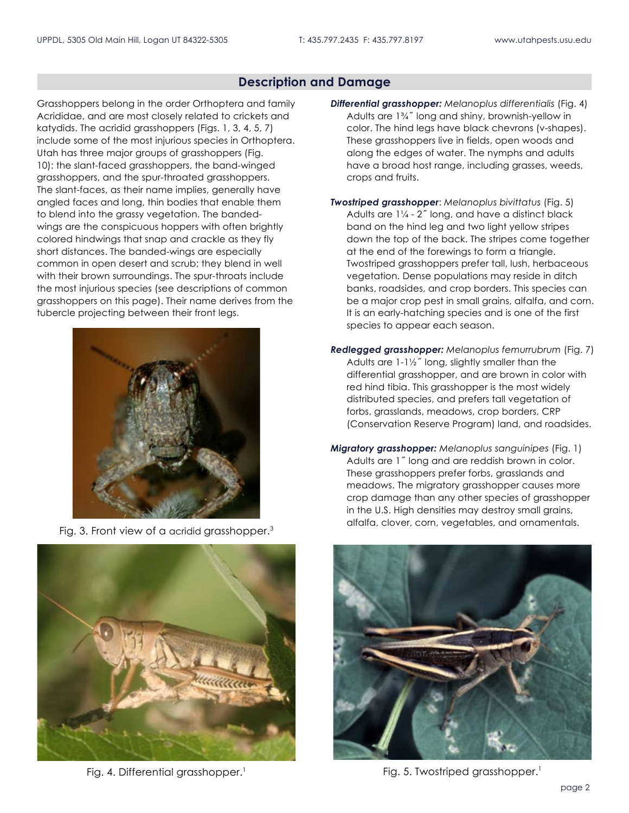#### **Description and Damage**

Grasshoppers belong in the order Orthoptera and family Acrididae, and are most closely related to crickets and katydids. The acridid grasshoppers (Figs. 1, 3, 4, 5, 7) include some of the most injurious species in Orthoptera. Utah has three major groups of grasshoppers (Fig. 10): the slant-faced grasshoppers, the band-winged grasshoppers, and the spur-throated grasshoppers. The slant-faces, as their name implies, generally have angled faces and long, thin bodies that enable them to blend into the grassy vegetation. The bandedwings are the conspicuous hoppers with often brightly colored hindwings that snap and crackle as they fly short distances. The banded-wings are especially common in open desert and scrub; they blend in well with their brown surroundings. The spur-throats include the most injurious species (see descriptions of common grasshoppers on this page). Their name derives from the tubercle projecting between their front legs.



Fig. 3. Front view of a acridid grasshopper.<sup>3</sup>



Fig. 4. Differential grasshopper.<sup>1</sup>

*Differential grasshopper: Melanoplus differentialis* (Fig. 4) Adults are 1¾˝ long and shiny, brownish-yellow in color. The hind legs have black chevrons (v-shapes). These grasshoppers live in fields, open woods and along the edges of water. The nymphs and adults have a broad host range, including grasses, weeds, crops and fruits.

- *Twostriped grasshopper*: *Melanoplus bivittatus* (Fig. 5) Adults are 1¼ - 2˝ long, and have a distinct black band on the hind leg and two light yellow stripes down the top of the back. The stripes come together at the end of the forewings to form a triangle. Twostriped grasshoppers prefer tall, lush, herbaceous vegetation. Dense populations may reside in ditch banks, roadsides, and crop borders. This species can be a major crop pest in small grains, alfalfa, and corn. It is an early-hatching species and is one of the first species to appear each season.
- *Redlegged grasshopper: Melanoplus femurrubrum* (Fig. 7) Adults are 1-1½˝ long, slightly smaller than the differential grasshopper, and are brown in color with red hind tibia. This grasshopper is the most widely distributed species, and prefers tall vegetation of forbs, grasslands, meadows, crop borders, CRP (Conservation Reserve Program) land, and roadsides.
- *Migratory grasshopper: Melanoplus sanguinipes* (Fig. 1) Adults are 1˝ long and are reddish brown in color. These grasshoppers prefer forbs, grasslands and meadows. The migratory grasshopper causes more crop damage than any other species of grasshopper in the U.S. High densities may destroy small grains, alfalfa, clover, corn, vegetables, and ornamentals.



Fig. 5. Twostriped grasshopper.<sup>1</sup>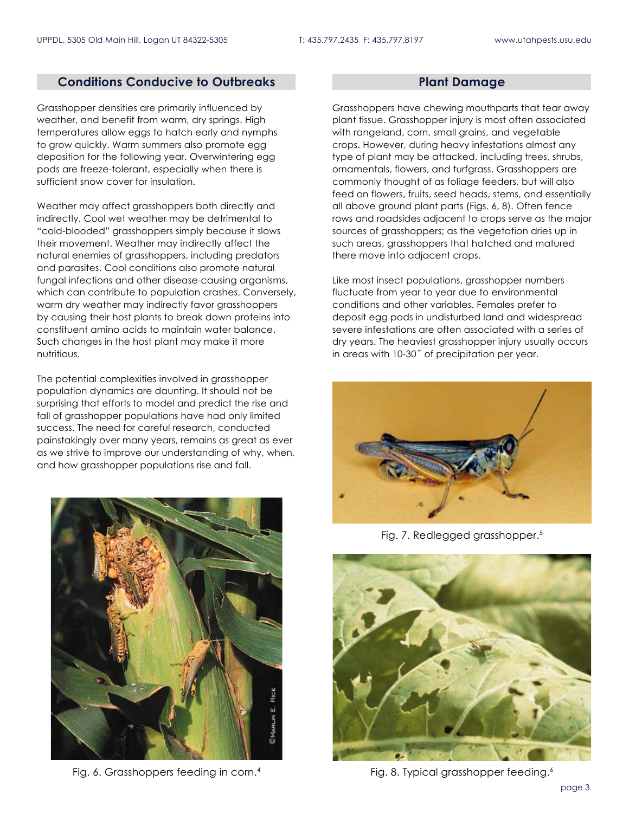#### **Conditions Conducive to Outbreaks**

Grasshopper densities are primarily influenced by weather, and benefit from warm, dry springs. High temperatures allow eggs to hatch early and nymphs to grow quickly. Warm summers also promote egg deposition for the following year. Overwintering egg pods are freeze-tolerant, especially when there is sufficient snow cover for insulation.

Weather may affect grasshoppers both directly and indirectly. Cool wet weather may be detrimental to "cold-blooded" grasshoppers simply because it slows their movement. Weather may indirectly affect the natural enemies of grasshoppers, including predators and parasites. Cool conditions also promote natural fungal infections and other disease-causing organisms, which can contribute to population crashes. Conversely, warm dry weather may indirectly favor grasshoppers by causing their host plants to break down proteins into constituent amino acids to maintain water balance. Such changes in the host plant may make it more nutritious.

The potential complexities involved in grasshopper population dynamics are daunting. It should not be surprising that efforts to model and predict the rise and fall of grasshopper populations have had only limited success. The need for careful research, conducted painstakingly over many years, remains as great as ever as we strive to improve our understanding of why, when, and how grasshopper populations rise and fall.



Fig. 6. Grasshoppers feeding in corn.4

#### **Plant Damage**

Grasshoppers have chewing mouthparts that tear away plant tissue. Grasshopper injury is most often associated with rangeland, corn, small grains, and vegetable crops. However, during heavy infestations almost any type of plant may be attacked, including trees, shrubs, ornamentals, flowers, and turfgrass. Grasshoppers are commonly thought of as foliage feeders, but will also feed on flowers, fruits, seed heads, stems, and essentially all above ground plant parts (Figs. 6, 8). Often fence rows and roadsides adjacent to crops serve as the major sources of grasshoppers; as the vegetation dries up in such areas, grasshoppers that hatched and matured there move into adjacent crops.

Like most insect populations, grasshopper numbers fluctuate from year to year due to environmental conditions and other variables. Females prefer to deposit egg pods in undisturbed land and widespread severe infestations are often associated with a series of dry years. The heaviest grasshopper injury usually occurs in areas with 10-30˝ of precipitation per year.



Fig. 7. Redlegged grasshopper.<sup>5</sup>



Fig. 8. Typical grasshopper feeding.<sup>6</sup>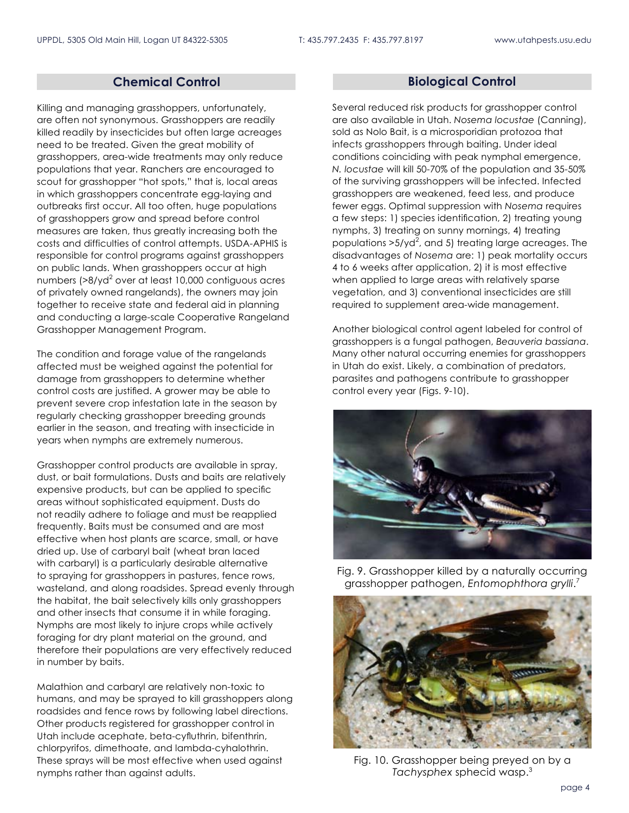### **Chemical Control**

Killing and managing grasshoppers, unfortunately, are often not synonymous. Grasshoppers are readily killed readily by insecticides but often large acreages need to be treated. Given the great mobility of grasshoppers, area-wide treatments may only reduce populations that year. Ranchers are encouraged to scout for grasshopper "hot spots," that is, local areas in which grasshoppers concentrate egg-laying and outbreaks first occur. All too often, huge populations of grasshoppers grow and spread before control measures are taken, thus greatly increasing both the costs and difficulties of control attempts. USDA-APHIS is responsible for control programs against grasshoppers on public lands. When grasshoppers occur at high numbers (>8/yd $^2$  over at least 10,000 contiguous acres of privately owned rangelands), the owners may join together to receive state and federal aid in planning and conducting a large-scale Cooperative Rangeland Grasshopper Management Program.

The condition and forage value of the rangelands affected must be weighed against the potential for damage from grasshoppers to determine whether control costs are justified. A grower may be able to prevent severe crop infestation late in the season by regularly checking grasshopper breeding grounds earlier in the season, and treating with insecticide in years when nymphs are extremely numerous.

Grasshopper control products are available in spray, dust, or bait formulations. Dusts and baits are relatively expensive products, but can be applied to specific areas without sophisticated equipment. Dusts do not readily adhere to foliage and must be reapplied frequently. Baits must be consumed and are most effective when host plants are scarce, small, or have dried up. Use of carbaryl bait (wheat bran laced with carbaryl) is a particularly desirable alternative to spraying for grasshoppers in pastures, fence rows, wasteland, and along roadsides. Spread evenly through the habitat, the bait selectively kills only grasshoppers and other insects that consume it in while foraging. Nymphs are most likely to injure crops while actively foraging for dry plant material on the ground, and therefore their populations are very effectively reduced in number by baits.

Malathion and carbaryl are relatively non-toxic to humans, and may be sprayed to kill grasshoppers along roadsides and fence rows by following label directions. Other products registered for grasshopper control in Utah include acephate, beta-cyfluthrin, bifenthrin, chlorpyrifos, dimethoate, and lambda-cyhalothrin. These sprays will be most effective when used against nymphs rather than against adults.

#### **Biological Control**

Several reduced risk products for grasshopper control are also available in Utah. *Nosema locustae* (Canning), sold as Nolo Bait, is a microsporidian protozoa that infects grasshoppers through baiting. Under ideal conditions coinciding with peak nymphal emergence, *N. locustae* will kill 50-70% of the population and 35-50% of the surviving grasshoppers will be infected. Infected grasshoppers are weakened, feed less, and produce fewer eggs. Optimal suppression with *Nosema* requires a few steps: 1) species identification, 2) treating young nymphs, 3) treating on sunny mornings, 4) treating populations >5/yd<sup>2</sup>, and 5) treating large acreages. The disadvantages of *Nosema* are: 1) peak mortality occurs 4 to 6 weeks after application, 2) it is most effective when applied to large areas with relatively sparse vegetation, and 3) conventional insecticides are still required to supplement area-wide management.

Another biological control agent labeled for control of grasshoppers is a fungal pathogen, *Beauveria bassiana*. Many other natural occurring enemies for grasshoppers in Utah do exist. Likely, a combination of predators, parasites and pathogens contribute to grasshopper control every year (Figs. 9-10).



Fig. 9. Grasshopper killed by a naturally occurring grasshopper pathogen, *Entomophthora grylli*. 7



Fig. 10. Grasshopper being preyed on by a *Tachysphex* sphecid wasp.3